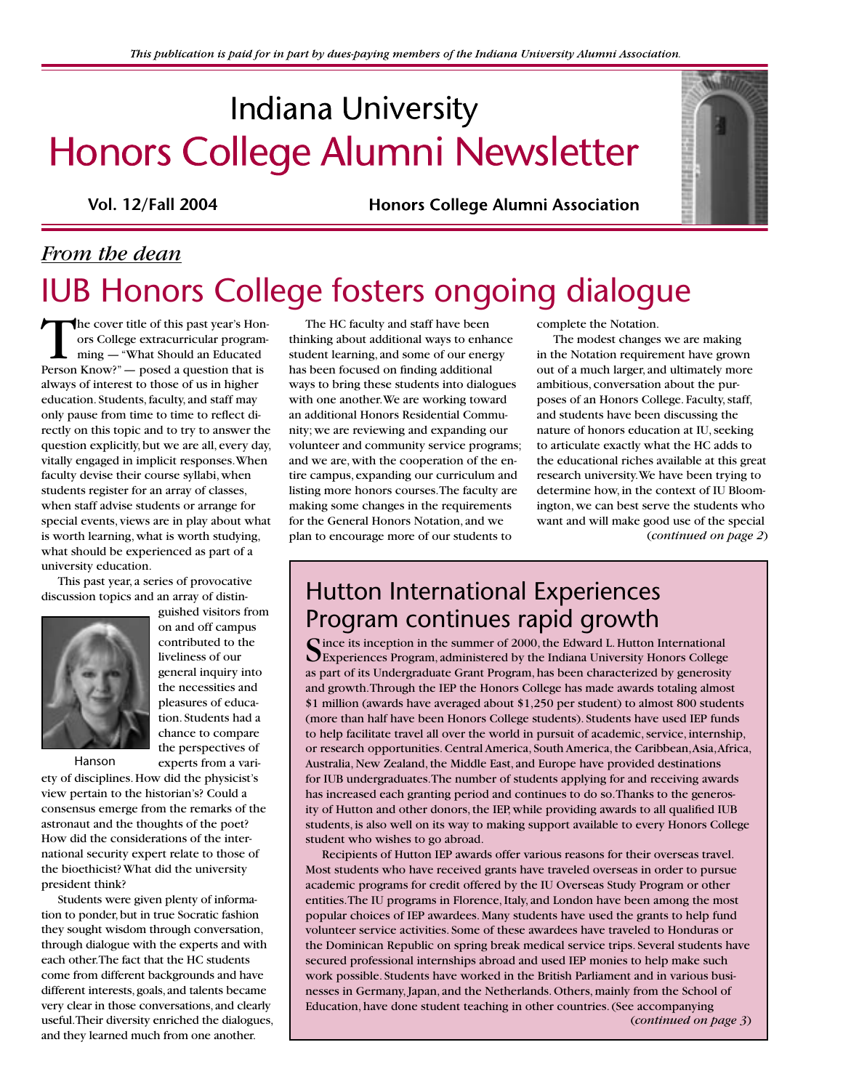# **Indiana University** Honors College Alumni Newsletter

**Vol. 12/Fall 2004**

**Honors College Alumni Association** 

# *From the dean* IUB Honors College fosters ongoing dialogue

The cover title of this past year's Honors College extracurricular programming — "What Should an Educated Person Know?" — posed a question that is always of interest to those of us in higher education. Students, faculty, and staff may only pause from time to time to reflect directly on this topic and to try to answer the question explicitly, but we are all, every day, vitally engaged in implicit responses. When faculty devise their course syllabi, when students register for an array of classes, when staff advise students or arrange for special events, views are in play about what is worth learning, what is worth studying, what should be experienced as part of a university education.

This past year, a series of provocative discussion topics and an array of distin-



on and off campus contributed to the liveliness of our general inquiry into the necessities and pleasures of education. Students had a chance to compare the perspectives of experts from a vari-

Hanson

ety of disciplines. How did the physicist's view pertain to the historian's? Could a consensus emerge from the remarks of the astronaut and the thoughts of the poet? How did the considerations of the international security expert relate to those of the bioethicist? What did the university president think?

Students were given plenty of information to ponder, but in true Socratic fashion they sought wisdom through conversation, through dialogue with the experts and with each other. The fact that the HC students come from different backgrounds and have different interests, goals, and talents became very clear in those conversations, and clearly useful. Their diversity enriched the dialogues, and they learned much from one another.

The HC faculty and staff have been thinking about additional ways to enhance student learning, and some of our energy has been focused on finding additional ways to bring these students into dialogues with one another. We are working toward an additional Honors Residential Community; we are reviewing and expanding our volunteer and community service programs; and we are, with the cooperation of the entire campus, expanding our curriculum and listing more honors courses. The faculty are making some changes in the requirements for the General Honors Notation, and we plan to encourage more of our students to

complete the Notation.

The modest changes we are making in the Notation requirement have grown out of a much larger, and ultimately more ambitious, conversation about the purposes of an Honors College. Faculty, staff, and students have been discussing the nature of honors education at IU, seeking to articulate exactly what the HC adds to the educational riches available at this great research university. We have been trying to determine how, in the context of IU Bloomington, we can best serve the students who want and will make good use of the special (*continued on page 2*)

### Hutton International Experiences Program continues rapid growth

Since its inception in the summer of 2000, the Edward L. Hutton International Experiences Program, administered by the Indiana University Honors College as part of its Undergraduate Grant Program, has been characterized by generosity and growth. Through the IEP the Honors College has made awards totaling almost \$1 million (awards have averaged about \$1,250 per student) to almost 800 students (more than half have been Honors College students). Students have used IEP funds to help facilitate travel all over the world in pursuit of academic, service, internship, or research opportunities. Central America, South America, the Caribbean, Asia, Africa, Australia, New Zealand, the Middle East, and Europe have provided destinations for IUB undergraduates. The number of students applying for and receiving awards has increased each granting period and continues to do so. Thanks to the generosity of Hutton and other donors, the IEP, while providing awards to all qualified IUB students, is also well on its way to making support available to every Honors College student who wishes to go abroad.

Recipients of Hutton IEP awards offer various reasons for their overseas travel. Most students who have received grants have traveled overseas in order to pursue academic programs for credit offered by the IU Overseas Study Program or other entities. The IU programs in Florence, Italy, and London have been among the most popular choices of IEP awardees. Many students have used the grants to help fund volunteer service activities. Some of these awardees have traveled to Honduras or the Dominican Republic on spring break medical service trips. Several students have secured professional internships abroad and used IEP monies to help make such work possible. Students have worked in the British Parliament and in various businesses in Germany, Japan, and the Netherlands. Others, mainly from the School of Education, have done student teaching in other countries. (See accompanying (*continued on page 3*)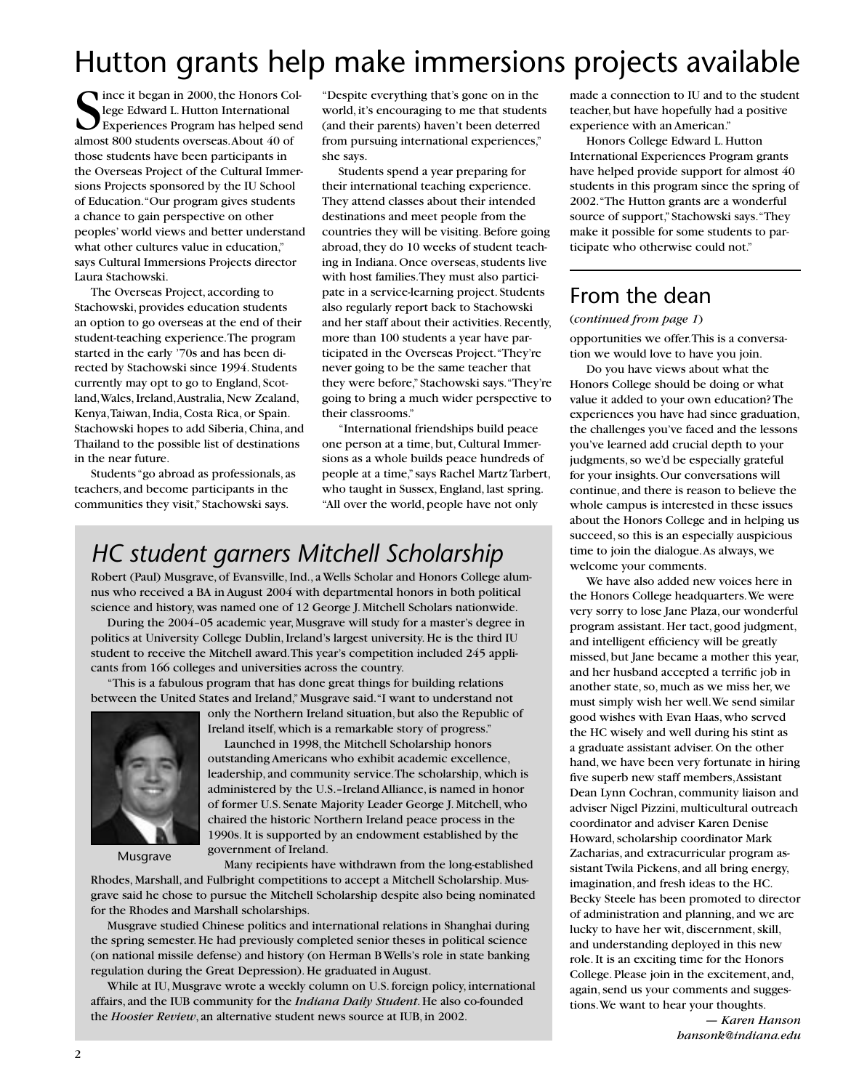# Hutton grants help make immersions projects available

Since it began in 2000, the Honors College Edward L. Hutton International<br>Experiences Program has helped senalmost 800 students overseas. About 40 of ince it began in 2000, the Honors College Edward L. Hutton International Experiences Program has helped send those students have been participants in the Overseas Project of the Cultural Immersions Projects sponsored by the IU School of Education. "Our program gives students a chance to gain perspective on other peoples' world views and better understand what other cultures value in education," says Cultural Immersions Projects director Laura Stachowski.

The Overseas Project, according to Stachowski, provides education students an option to go overseas at the end of their student-teaching experience. The program started in the early '70s and has been directed by Stachowski since 1994. Students currently may opt to go to England, Scotland, Wales, Ireland, Australia, New Zealand, Kenya, Taiwan, India, Costa Rica, or Spain. Stachowski hopes to add Siberia, China, and Thailand to the possible list of destinations in the near future.

Students "go abroad as professionals, as teachers, and become participants in the communities they visit," Stachowski says.

"Despite everything that's gone on in the world, it's encouraging to me that students (and their parents) haven't been deterred from pursuing international experiences," she says.

Students spend a year preparing for their international teaching experience. They attend classes about their intended destinations and meet people from the countries they will be visiting. Before going abroad, they do 10 weeks of student teaching in Indiana. Once overseas, students live with host families. They must also participate in a service-learning project. Students also regularly report back to Stachowski and her staff about their activities. Recently, more than 100 students a year have participated in the Overseas Project. "They're never going to be the same teacher that they were before," Stachowski says. "They're going to bring a much wider perspective to their classrooms."

"International friendships build peace one person at a time, but, Cultural Immersions as a whole builds peace hundreds of people at a time," says Rachel Martz Tarbert, who taught in Sussex, England, last spring. "All over the world, people have not only

## *HC student garners Mitchell Scholarship*

Robert (Paul) Musgrave, of Evansville, Ind., a Wells Scholar and Honors College alumnus who received a BA in August 2004 with departmental honors in both political science and history, was named one of 12 George J. Mitchell Scholars nationwide.

During the 2004–05 academic year, Musgrave will study for a master's degree in politics at University College Dublin, Ireland's largest university. He is the third IU student to receive the Mitchell award. This year's competition included 245 applicants from 166 colleges and universities across the country.

"This is a fabulous program that has done great things for building relations between the United States and Ireland," Musgrave said. "I want to understand not



Musgrave

only the Northern Ireland situation, but also the Republic of Ireland itself, which is a remarkable story of progress." Launched in 1998, the Mitchell Scholarship honors

outstanding Americans who exhibit academic excellence, leadership, and community service. The scholarship, which is administered by the U.S.–Ireland Alliance, is named in honor of former U.S. Senate Majority Leader George J. Mitchell, who chaired the historic Northern Ireland peace process in the 1990s. It is supported by an endowment established by the government of Ireland.

Many recipients have withdrawn from the long-established

Rhodes, Marshall, and Fulbright competitions to accept a Mitchell Scholarship. Musgrave said he chose to pursue the Mitchell Scholarship despite also being nominated for the Rhodes and Marshall scholarships.

Musgrave studied Chinese politics and international relations in Shanghai during the spring semester. He had previously completed senior theses in political science (on national missile defense) and history (on Herman B Wells's role in state banking regulation during the Great Depression). He graduated in August.

While at IU, Musgrave wrote a weekly column on U.S. foreign policy, international affairs, and the IUB community for the *Indiana Daily Student*. He also co-founded the *Hoosier Review*, an alternative student news source at IUB, in 2002.

made a connection to IU and to the student teacher, but have hopefully had a positive experience with an American."

Honors College Edward L. Hutton International Experiences Program grants have helped provide support for almost 40 students in this program since the spring of 2002. "The Hutton grants are a wonderful source of support," Stachowski says. "They make it possible for some students to participate who otherwise could not."

### From the dean

#### (*continued from page 1*)

opportunities we offer. This is a conversation we would love to have you join.

Do you have views about what the Honors College should be doing or what value it added to your own education? The experiences you have had since graduation, the challenges you've faced and the lessons you've learned add crucial depth to your judgments, so we'd be especially grateful for your insights. Our conversations will continue, and there is reason to believe the whole campus is interested in these issues about the Honors College and in helping us succeed, so this is an especially auspicious time to join the dialogue. As always, we welcome your comments.

We have also added new voices here in the Honors College headquarters. We were very sorry to lose Jane Plaza, our wonderful program assistant. Her tact, good judgment, and intelligent efficiency will be greatly missed, but Jane became a mother this year, and her husband accepted a terrific job in another state, so, much as we miss her, we must simply wish her well. We send similar good wishes with Evan Haas, who served the HC wisely and well during his stint as a graduate assistant adviser. On the other hand, we have been very fortunate in hiring five superb new staff members, Assistant Dean Lynn Cochran, community liaison and adviser Nigel Pizzini, multicultural outreach coordinator and adviser Karen Denise Howard, scholarship coordinator Mark Zacharias, and extracurricular program assistant Twila Pickens, and all bring energy, imagination, and fresh ideas to the HC. Becky Steele has been promoted to director of administration and planning, and we are lucky to have her wit, discernment, skill, and understanding deployed in this new role. It is an exciting time for the Honors College. Please join in the excitement, and, again, send us your comments and suggestions. We want to hear your thoughts.

> — *Karen Hanson hansonk@indiana.edu*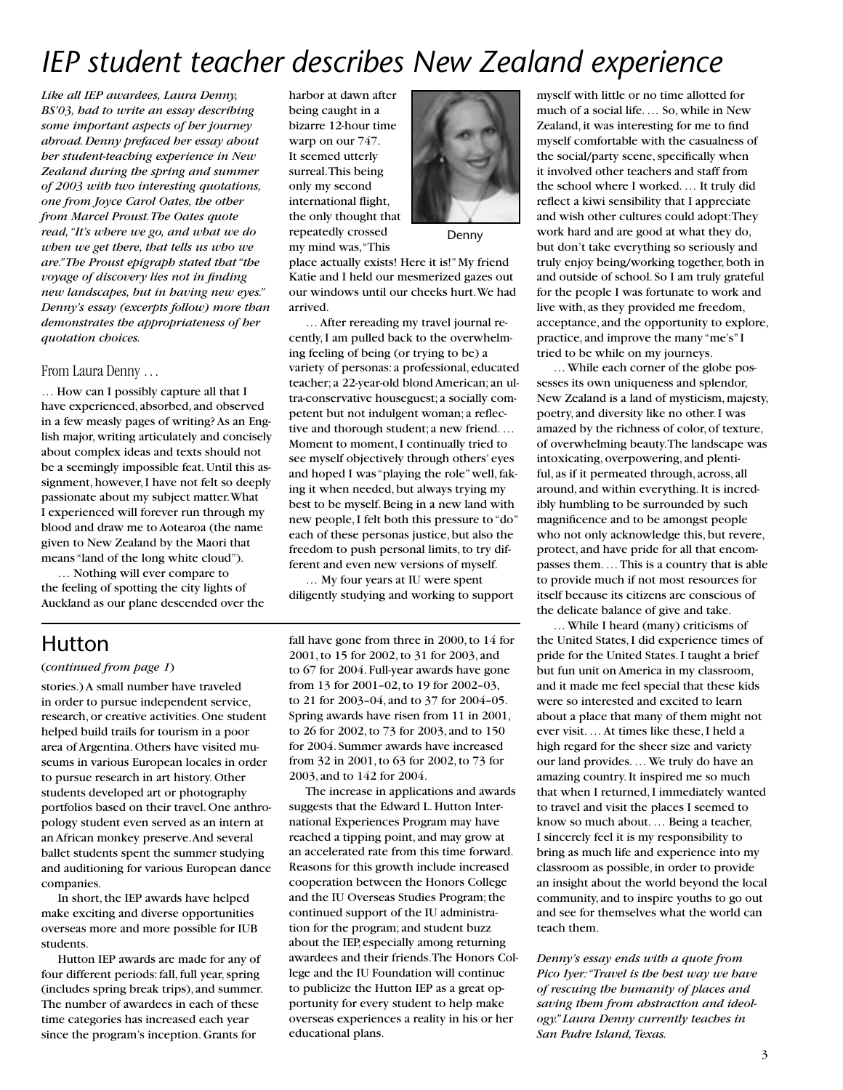# *IEP student teacher describes New Zealand experience*

*Like all IEP awardees, Laura Denny, BS'03, had to write an essay describing some important aspects of her journey abroad. Denny prefaced her essay about her student-teaching experience in New Zealand during the spring and summer of 2003 with two interesting quotations, one from Joyce Carol Oates, the other from Marcel Proust. The Oates quote read, "It's where we go, and what we do when we get there, that tells us who we are." The Proust epigraph stated that "the voyage of discovery lies not in finding new landscapes, but in having new eyes." Denny's essay (excerpts follow) more than demonstrates the appropriateness of her quotation choices.*

#### From Laura Denny …

… How can I possibly capture all that I have experienced, absorbed, and observed in a few measly pages of writing? As an English major, writing articulately and concisely about complex ideas and texts should not be a seemingly impossible feat. Until this assignment, however, I have not felt so deeply passionate about my subject matter. What I experienced will forever run through my blood and draw me to Aotearoa (the name given to New Zealand by the Maori that means "land of the long white cloud").

… Nothing will ever compare to the feeling of spotting the city lights of Auckland as our plane descended over the

#### Hutton

#### (*continued from page 1*)

stories.) A small number have traveled in order to pursue independent service, research, or creative activities. One student helped build trails for tourism in a poor area of Argentina. Others have visited museums in various European locales in order to pursue research in art history. Other students developed art or photography portfolios based on their travel. One anthropology student even served as an intern at an African monkey preserve. And several ballet students spent the summer studying and auditioning for various European dance companies.

In short, the IEP awards have helped make exciting and diverse opportunities overseas more and more possible for IUB students.

Hutton IEP awards are made for any of four different periods: fall, full year, spring (includes spring break trips), and summer. The number of awardees in each of these time categories has increased each year since the program's inception. Grants for

harbor at dawn after being caught in a bizarre 12-hour time warp on our 747. It seemed utterly surreal. This being only my second international flight, the only thought that repeatedly crossed my mind was, "This



Denny

place actually exists! Here it is!" My friend Katie and I held our mesmerized gazes out our windows until our cheeks hurt. We had arrived.

… After rereading my travel journal recently, I am pulled back to the overwhelming feeling of being (or trying to be) a variety of personas: a professional, educated teacher; a 22-year-old blond American; an ultra-conservative houseguest; a socially competent but not indulgent woman; a reflective and thorough student; a new friend. … Moment to moment, I continually tried to see myself objectively through others' eyes and hoped I was "playing the role" well, faking it when needed, but always trying my best to be myself. Being in a new land with new people, I felt both this pressure to "do" each of these personas justice, but also the freedom to push personal limits, to try different and even new versions of myself.

… My four years at IU were spent diligently studying and working to support

fall have gone from three in 2000, to 14 for 2001, to 15 for 2002, to 31 for 2003, and to 67 for 2004. Full-year awards have gone from 13 for 2001–02, to 19 for 2002–03, to 21 for 2003–04, and to 37 for 2004–05. Spring awards have risen from 11 in 2001, to 26 for 2002, to 73 for 2003, and to 150 for 2004. Summer awards have increased from 32 in 2001, to 63 for 2002, to 73 for 2003, and to 142 for 2004.

The increase in applications and awards suggests that the Edward L. Hutton International Experiences Program may have reached a tipping point, and may grow at an accelerated rate from this time forward. Reasons for this growth include increased cooperation between the Honors College and the IU Overseas Studies Program; the continued support of the IU administration for the program; and student buzz about the IEP, especially among returning awardees and their friends. The Honors College and the IU Foundation will continue to publicize the Hutton IEP as a great opportunity for every student to help make overseas experiences a reality in his or her educational plans.

myself with little or no time allotted for much of a social life. … So, while in New Zealand, it was interesting for me to find myself comfortable with the casualness of the social/party scene, specifically when it involved other teachers and staff from the school where I worked. … It truly did reflect a kiwi sensibility that I appreciate and wish other cultures could adopt: They work hard and are good at what they do, but don't take everything so seriously and truly enjoy being/working together, both in and outside of school. So I am truly grateful for the people I was fortunate to work and live with, as they provided me freedom, acceptance, and the opportunity to explore, practice, and improve the many "me's" I tried to be while on my journeys.

… While each corner of the globe possesses its own uniqueness and splendor, New Zealand is a land of mysticism, majesty, poetry, and diversity like no other. I was amazed by the richness of color, of texture, of overwhelming beauty. The landscape was intoxicating, overpowering, and plentiful, as if it permeated through, across, all around, and within everything. It is incredibly humbling to be surrounded by such magnificence and to be amongst people who not only acknowledge this, but revere, protect, and have pride for all that encompasses them. … This is a country that is able to provide much if not most resources for itself because its citizens are conscious of the delicate balance of give and take.

… While I heard (many) criticisms of the United States, I did experience times of pride for the United States. I taught a brief but fun unit on America in my classroom, and it made me feel special that these kids were so interested and excited to learn about a place that many of them might not ever visit. … At times like these, I held a high regard for the sheer size and variety our land provides. … We truly do have an amazing country. It inspired me so much that when I returned, I immediately wanted to travel and visit the places I seemed to know so much about. … Being a teacher, I sincerely feel it is my responsibility to bring as much life and experience into my classroom as possible, in order to provide an insight about the world beyond the local community, and to inspire youths to go out and see for themselves what the world can teach them.

*Denny's essay ends with a quote from Pico Iyer: "Travel is the best way we have of rescuing the humanity of places and saving them from abstraction and ideology." Laura Denny currently teaches in San Padre Island, Texas.*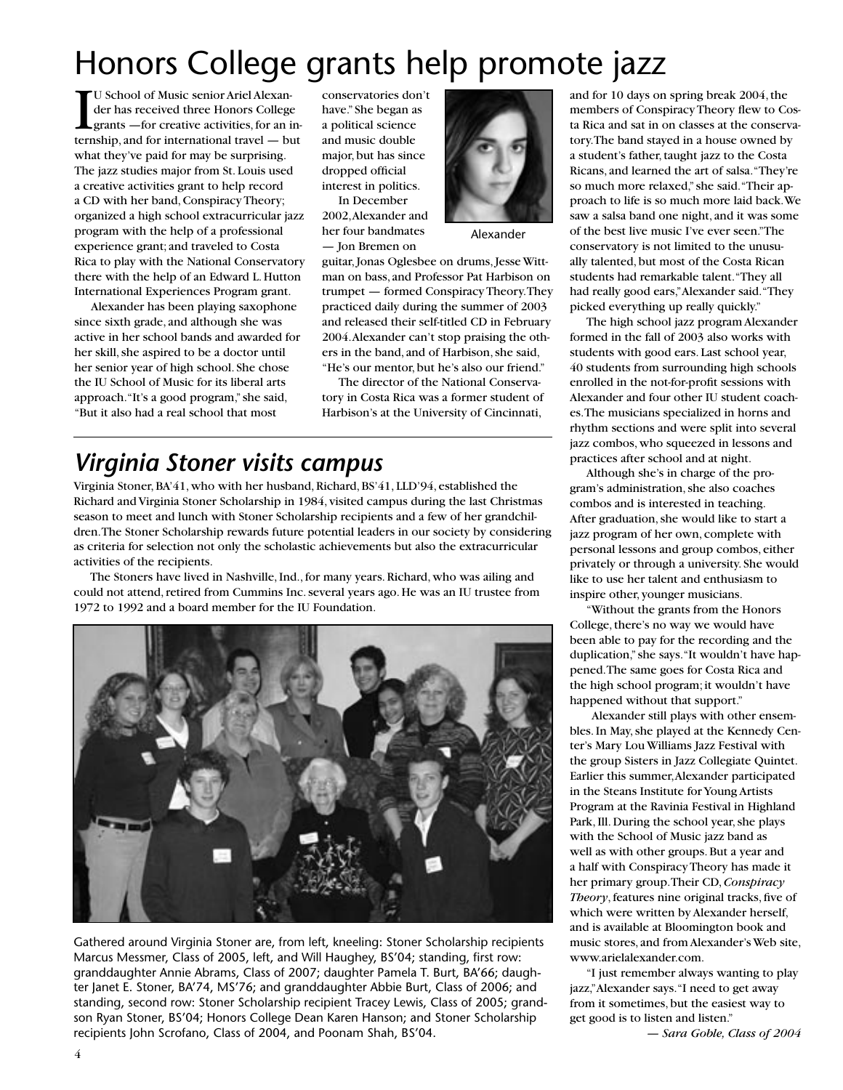# Honors College grants help promote jazz

U School of Music senior Ariel Alexander has received three Honors College<br>grants —for creative activities, for an internship, and for international travel — but U School of Music senior Ariel Alexander has received three Honors College grants —for creative activities, for an inwhat they've paid for may be surprising. The jazz studies major from St. Louis used a creative activities grant to help record a CD with her band, Conspiracy Theory; organized a high school extracurricular jazz program with the help of a professional experience grant; and traveled to Costa Rica to play with the National Conservatory there with the help of an Edward L. Hutton International Experiences Program grant.

Alexander has been playing saxophone since sixth grade, and although she was active in her school bands and awarded for her skill, she aspired to be a doctor until her senior year of high school. She chose the IU School of Music for its liberal arts approach. "It's a good program," she said, "But it also had a real school that most

conservatories don't have." She began as a political science and music double major, but has since dropped official interest in politics.

In December 2002, Alexander and her four bandmates — Jon Bremen on



Alexander

guitar, Jonas Oglesbee on drums, Jesse Wittman on bass, and Professor Pat Harbison on trumpet — formed Conspiracy Theory. They practiced daily during the summer of 2003 and released their self-titled CD in February 2004. Alexander can't stop praising the others in the band, and of Harbison, she said, "He's our mentor, but he's also our friend."

The director of the National Conservatory in Costa Rica was a former student of Harbison's at the University of Cincinnati,

## *Virginia Stoner visits campus*

Virginia Stoner, BA'41, who with her husband, Richard, BS'41, LLD'94, established the Richard and Virginia Stoner Scholarship in 1984, visited campus during the last Christmas season to meet and lunch with Stoner Scholarship recipients and a few of her grandchildren. The Stoner Scholarship rewards future potential leaders in our society by considering as criteria for selection not only the scholastic achievements but also the extracurricular activities of the recipients.

The Stoners have lived in Nashville, Ind., for many years. Richard, who was ailing and could not attend, retired from Cummins Inc. several years ago. He was an IU trustee from 1972 to 1992 and a board member for the IU Foundation.



Gathered around Virginia Stoner are, from left, kneeling: Stoner Scholarship recipients Marcus Messmer, Class of 2005, left, and Will Haughey, BS'04; standing, first row: granddaughter Annie Abrams, Class of 2007; daughter Pamela T. Burt, BA'66; daughter Janet E. Stoner, BA'74, MS'76; and granddaughter Abbie Burt, Class of 2006; and standing, second row: Stoner Scholarship recipient Tracey Lewis, Class of 2005; grandson Ryan Stoner, BS'04; Honors College Dean Karen Hanson; and Stoner Scholarship recipients John Scrofano, Class of 2004, and Poonam Shah, BS'04.

and for 10 days on spring break 2004, the members of Conspiracy Theory flew to Costa Rica and sat in on classes at the conservatory. The band stayed in a house owned by a student's father, taught jazz to the Costa Ricans, and learned the art of salsa. "They're so much more relaxed," she said. "Their approach to life is so much more laid back. We saw a salsa band one night, and it was some of the best live music I've ever seen." The conservatory is not limited to the unusually talented, but most of the Costa Rican students had remarkable talent. "They all had really good ears," Alexander said. "They picked everything up really quickly."

The high school jazz program Alexander formed in the fall of 2003 also works with students with good ears. Last school year, 40 students from surrounding high schools enrolled in the not-for-profit sessions with Alexander and four other IU student coaches. The musicians specialized in horns and rhythm sections and were split into several jazz combos, who squeezed in lessons and practices after school and at night.

Although she's in charge of the program's administration, she also coaches combos and is interested in teaching. After graduation, she would like to start a jazz program of her own, complete with personal lessons and group combos, either privately or through a university. She would like to use her talent and enthusiasm to inspire other, younger musicians.

"Without the grants from the Honors College, there's no way we would have been able to pay for the recording and the duplication," she says. "It wouldn't have happened. The same goes for Costa Rica and the high school program; it wouldn't have happened without that support."

 Alexander still plays with other ensembles. In May, she played at the Kennedy Center's Mary Lou Williams Jazz Festival with the group Sisters in Jazz Collegiate Quintet. Earlier this summer, Alexander participated in the Steans Institute for Young Artists Program at the Ravinia Festival in Highland Park, Ill. During the school year, she plays with the School of Music jazz band as well as with other groups. But a year and a half with Conspiracy Theory has made it her primary group. Their CD, *Conspiracy Theory*, features nine original tracks, five of which were written by Alexander herself, and is available at Bloomington book and music stores, and from Alexander's Web site, www.arielalexander.com.

"I just remember always wanting to play jazz," Alexander says. "I need to get away from it sometimes, but the easiest way to get good is to listen and listen."

— *Sara Goble, Class of 2004*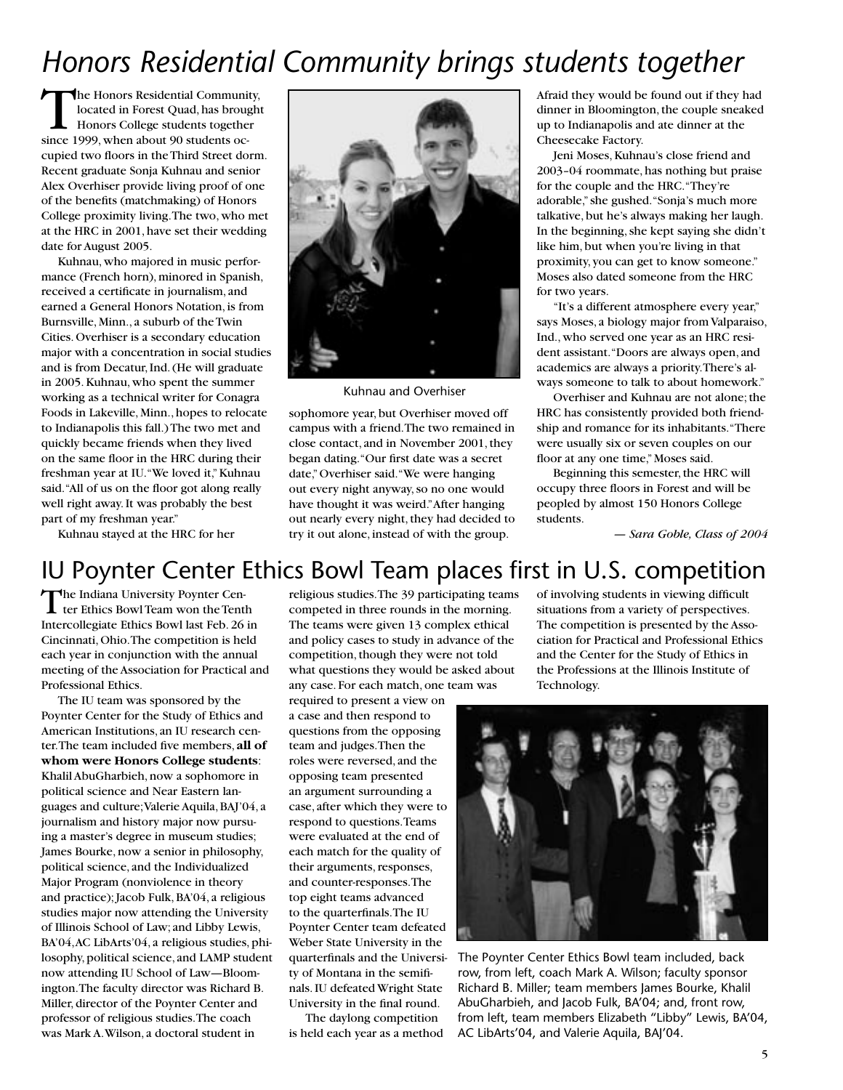# *Honors Residential Community brings students together*

The Honors Residential Community, located in Forest Quad, has brought Honors College students together since 1999, when about 90 students occupied two floors in the Third Street dorm. Recent graduate Sonja Kuhnau and senior Alex Overhiser provide living proof of one of the benefits (matchmaking) of Honors College proximity living. The two, who met at the HRC in 2001, have set their wedding date for August 2005.

Kuhnau, who majored in music performance (French horn), minored in Spanish, received a certificate in journalism, and earned a General Honors Notation, is from Burnsville, Minn., a suburb of the Twin Cities. Overhiser is a secondary education major with a concentration in social studies and is from Decatur, Ind. (He will graduate in 2005. Kuhnau, who spent the summer working as a technical writer for Conagra Foods in Lakeville, Minn., hopes to relocate to Indianapolis this fall.) The two met and quickly became friends when they lived on the same floor in the HRC during their freshman year at IU. "We loved it," Kuhnau said. "All of us on the floor got along really well right away. It was probably the best part of my freshman year." Kuhnau stayed at the HRC for her



Kuhnau and Overhiser

sophomore year, but Overhiser moved off campus with a friend. The two remained in close contact, and in November 2001, they began dating. "Our first date was a secret date," Overhiser said. "We were hanging out every night anyway, so no one would have thought it was weird." After hanging out nearly every night, they had decided to try it out alone, instead of with the group.

Afraid they would be found out if they had dinner in Bloomington, the couple sneaked up to Indianapolis and ate dinner at the Cheesecake Factory.

Jeni Moses, Kuhnau's close friend and 2003–04 roommate, has nothing but praise for the couple and the HRC. "They're adorable," she gushed. "Sonja's much more talkative, but he's always making her laugh. In the beginning, she kept saying she didn't like him, but when you're living in that proximity, you can get to know someone." Moses also dated someone from the HRC for two years.

"It's a different atmosphere every year," says Moses, a biology major from Valparaiso, Ind., who served one year as an HRC resident assistant. "Doors are always open, and academics are always a priority. There's always someone to talk to about homework."

Overhiser and Kuhnau are not alone; the HRC has consistently provided both friendship and romance for its inhabitants. "There were usually six or seven couples on our floor at any one time," Moses said.

Beginning this semester, the HRC will occupy three floors in Forest and will be peopled by almost 150 Honors College students.

— *Sara Goble, Class of 2004*

### IU Poynter Center Ethics Bowl Team places first in U.S. competition

The Indiana University Poynter Center Ethics Bowl Team won the Tenth Intercollegiate Ethics Bowl last Feb. 26 in Cincinnati, Ohio. The competition is held each year in conjunction with the annual meeting of the Association for Practical and Professional Ethics.

The IU team was sponsored by the Poynter Center for the Study of Ethics and American Institutions, an IU research center. The team included five members, **all of whom were Honors College students**: Khalil AbuGharbieh, now a sophomore in political science and Near Eastern languages and culture; Valerie Aquila, BAJ'04, a journalism and history major now pursuing a master's degree in museum studies; James Bourke, now a senior in philosophy, political science, and the Individualized Major Program (nonviolence in theory and practice); Jacob Fulk, BA'04, a religious studies major now attending the University of Illinois School of Law; and Libby Lewis, BA'04, AC LibArts'04, a religious studies, philosophy, political science, and LAMP student now attending IU School of Law—Bloomington. The faculty director was Richard B. Miller, director of the Poynter Center and professor of religious studies. The coach was Mark A. Wilson, a doctoral student in

religious studies. The 39 participating teams competed in three rounds in the morning. The teams were given 13 complex ethical and policy cases to study in advance of the competition, though they were not told what questions they would be asked about any case. For each match, one team was

required to present a view on a case and then respond to questions from the opposing team and judges. Then the roles were reversed, and the opposing team presented an argument surrounding a case, after which they were to respond to questions. Teams were evaluated at the end of each match for the quality of their arguments, responses, and counter-responses. The top eight teams advanced to the quarterfinals. The IU Poynter Center team defeated Weber State University in the quarterfinals and the University of Montana in the semifinals. IU defeated Wright State University in the final round.

The daylong competition is held each year as a method of involving students in viewing difficult situations from a variety of perspectives. The competition is presented by the Association for Practical and Professional Ethics and the Center for the Study of Ethics in the Professions at the Illinois Institute of Technology.



The Poynter Center Ethics Bowl team included, back row, from left, coach Mark A. Wilson; faculty sponsor Richard B. Miller; team members James Bourke, Khalil AbuGharbieh, and Jacob Fulk, BA'04; and, front row, from left, team members Elizabeth "Libby" Lewis, BA'04, AC LibArts'04, and Valerie Aquila, BAJ'04.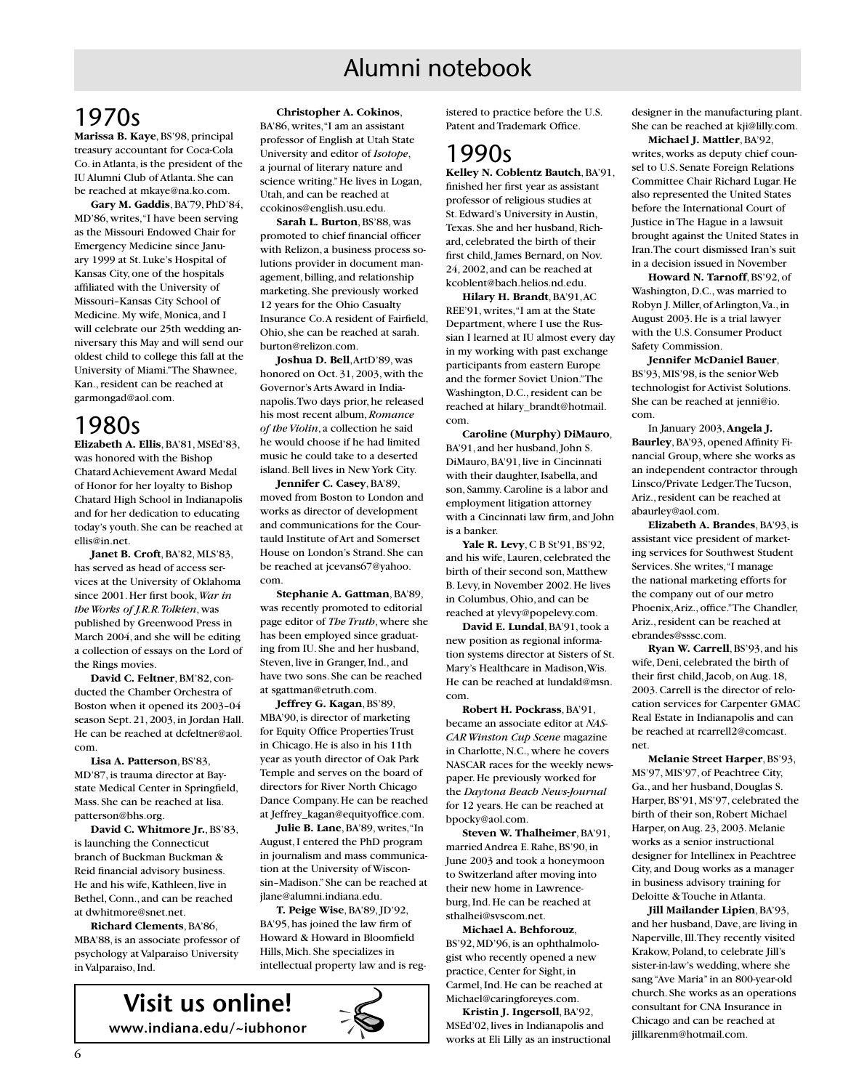## Alumni notebook

## 1970s

**Marissa B. Kaye**, BS'98, principal treasury accountant for Coca-Cola Co. in Atlanta, is the president of the IU Alumni Club of Atlanta. She can be reached at mkaye@na.ko.com.

**Gary M. Gaddis**, BA'79, PhD'84, MD'86, writes, "I have been serving as the Missouri Endowed Chair for Emergency Medicine since January 1999 at St. Luke's Hospital of Kansas City, one of the hospitals affiliated with the University of Missouri–Kansas City School of Medicine. My wife, Monica, and I will celebrate our 25th wedding anniversary this May and will send our oldest child to college this fall at the University of Miami." The Shawnee, Kan., resident can be reached at garmongad@aol.com.

#### 1980s

**Elizabeth A. Ellis**, BA'81, MSEd'83, was honored with the Bishop Chatard Achievement Award Medal of Honor for her loyalty to Bishop Chatard High School in Indianapolis and for her dedication to educating today's youth. She can be reached at ellis@in.net.

**Janet B. Croft**, BA'82, MLS'83, has served as head of access services at the University of Oklahoma since 2001. Her first book, *War in the Works of J.R.R. Tolkien*, was published by Greenwood Press in March 2004, and she will be editing a collection of essays on the Lord of the Rings movies.

**David C. Feltner**, BM'82, conducted the Chamber Orchestra of Boston when it opened its 2003–04 season Sept. 21, 2003, in Jordan Hall. He can be reached at dcfeltner@aol. com.

**Lisa A. Patterson**, BS'83, MD'87, is trauma director at Baystate Medical Center in Springfield, Mass. She can be reached at lisa. patterson@bhs.org.

**David C. Whitmore Jr.**, BS'83, is launching the Connecticut branch of Buckman Buckman & Reid financial advisory business. He and his wife, Kathleen, live in Bethel, Conn., and can be reached at dwhitmore@snet.net.

**Richard Clements**, BA'86, MBA'88, is an associate professor of psychology at Valparaiso University in Valparaiso, Ind.

**Christopher A. Cokinos**,

BA'86, writes, "I am an assistant professor of English at Utah State University and editor of *Isotope*, a journal of literary nature and science writing." He lives in Logan, Utah, and can be reached at ccokinos@english.usu.edu.

**Sarah L. Burton**, BS'88, was promoted to chief financial officer with Relizon, a business process solutions provider in document management, billing, and relationship marketing. She previously worked 12 years for the Ohio Casualty Insurance Co. A resident of Fairfield, Ohio, she can be reached at sarah. burton@relizon.com.

**Joshua D. Bell**, ArtD'89, was honored on Oct. 31, 2003, with the Governor's Arts Award in Indianapolis. Two days prior, he released his most recent album, *Romance of the Violin*, a collection he said he would choose if he had limited music he could take to a deserted island. Bell lives in New York City.

**Jennifer C. Casey**, BA'89, moved from Boston to London and works as director of development and communications for the Courtauld Institute of Art and Somerset House on London's Strand. She can be reached at jcevans67@yahoo. com.

**Stephanie A. Gattman**, BA'89, was recently promoted to editorial page editor of *The Truth*, where she has been employed since graduating from IU. She and her husband, Steven, live in Granger, Ind., and have two sons. She can be reached at sgattman@etruth.com.

**Jeffrey G. Kagan**, BS'89, MBA'90, is director of marketing for Equity Office Properties Trust in Chicago. He is also in his 11th year as youth director of Oak Park Temple and serves on the board of directors for River North Chicago Dance Company. He can be reached at Jeffrey\_kagan@equityoffice.com.

**Julie B. Lane**, BA'89, writes, "In August, I entered the PhD program in journalism and mass communication at the University of Wisconsin–Madison." She can be reached at jlane@alumni.indiana.edu.

**T. Peige Wise**, BA'89, JD'92, BA'95, has joined the law firm of Howard & Howard in Bloomfield Hills, Mich. She specializes in intellectual property law and is reg-

**Visit us online! www.indiana.edu/~iubhonor** istered to practice before the U.S. Patent and Trademark Office.

### 1990s

**Kelley N. Coblentz Bautch**, BA'91, finished her first year as assistant professor of religious studies at St. Edward's University in Austin, Texas. She and her husband, Richard, celebrated the birth of their first child, James Bernard, on Nov. 24, 2002, and can be reached at kcoblent@bach.helios.nd.edu.

**Hilary H. Brandt**, BA'91, AC REE'91, writes, "I am at the State Department, where I use the Russian I learned at IU almost every day in my working with past exchange participants from eastern Europe and the former Soviet Union." The Washington, D.C., resident can be reached at hilary\_brandt@hotmail. com.

**Caroline (Murphy) DiMauro**, BA'91, and her husband, John S. DiMauro, BA'91, live in Cincinnati with their daughter, Isabella, and son, Sammy. Caroline is a labor and employment litigation attorney with a Cincinnati law firm, and John is a banker.

**Yale R. Levy**, C B St'91, BS'92, and his wife, Lauren, celebrated the birth of their second son, Matthew B. Levy, in November 2002. He lives in Columbus, Ohio, and can be reached at ylevy@popelevy.com.

**David E. Lundal**, BA'91, took a new position as regional information systems director at Sisters of St. Mary's Healthcare in Madison, Wis. He can be reached at lundald@msn. com.

**Robert H. Pockrass**, BA'91, became an associate editor at *NAS-CAR Winston Cup Scene* magazine in Charlotte, N.C., where he covers NASCAR races for the weekly newspaper. He previously worked for the *Daytona Beach News-Journal* for 12 years. He can be reached at bpocky@aol.com.

**Steven W. Thalheimer**, BA'91, married Andrea E. Rahe, BS'90, in June 2003 and took a honeymoon to Switzerland after moving into their new home in Lawrenceburg, Ind. He can be reached at sthalhei@svscom.net.

**Michael A. Behforouz**, BS'92, MD'96, is an ophthalmologist who recently opened a new practice, Center for Sight, in Carmel, Ind. He can be reached at Michael@caringforeyes.com.

**Kristin J. Ingersoll**, BA'92, MSEd'02, lives in Indianapolis and works at Eli Lilly as an instructional designer in the manufacturing plant. She can be reached at kji@lilly.com.

**Michael J. Mattler**, BA'92, writes, works as deputy chief counsel to U.S. Senate Foreign Relations Committee Chair Richard Lugar. He also represented the United States before the International Court of Justice in The Hague in a lawsuit brought against the United States in Iran. The court dismissed Iran's suit in a decision issued in November

**Howard N. Tarnoff**, BS'92, of Washington, D.C., was married to Robyn J. Miller, of Arlington, Va., in August 2003. He is a trial lawyer with the U.S. Consumer Product Safety Commission.

**Jennifer McDaniel Bauer**, BS'93, MIS'98, is the senior Web technologist for Activist Solutions. She can be reached at jenni@io. com.

In January 2003, **Angela J. Baurley**, BA'93, opened Affinity Financial Group, where she works as an independent contractor through Linsco/Private Ledger. The Tucson, Ariz., resident can be reached at abaurley@aol.com.

**Elizabeth A. Brandes**, BA'93, is assistant vice president of marketing services for Southwest Student Services. She writes, "I manage the national marketing efforts for the company out of our metro Phoenix, Ariz., office." The Chandler, Ariz., resident can be reached at ebrandes@sssc.com.

**Ryan W. Carrell**, BS'93, and his wife, Deni, celebrated the birth of their first child, Jacob, on Aug. 18, 2003. Carrell is the director of relocation services for Carpenter GMAC Real Estate in Indianapolis and can be reached at rcarrell2@comcast. net.

**Melanie Street Harper**, BS'93, MS'97, MIS'97, of Peachtree City, Ga., and her husband, Douglas S. Harper, BS'91, MS'97, celebrated the birth of their son, Robert Michael Harper, on Aug. 23, 2003. Melanie works as a senior instructional designer for Intellinex in Peachtree City, and Doug works as a manager in business advisory training for Deloitte & Touche in Atlanta.

**Jill Mailander Lipien**, BA'93, and her husband, Dave, are living in Naperville, Ill. They recently visited Krakow, Poland, to celebrate Jill's sister-in-law's wedding, where she sang "Ave Maria" in an 800-year-old church. She works as an operations consultant for CNA Insurance in Chicago and can be reached at jillkarenm@hotmail.com.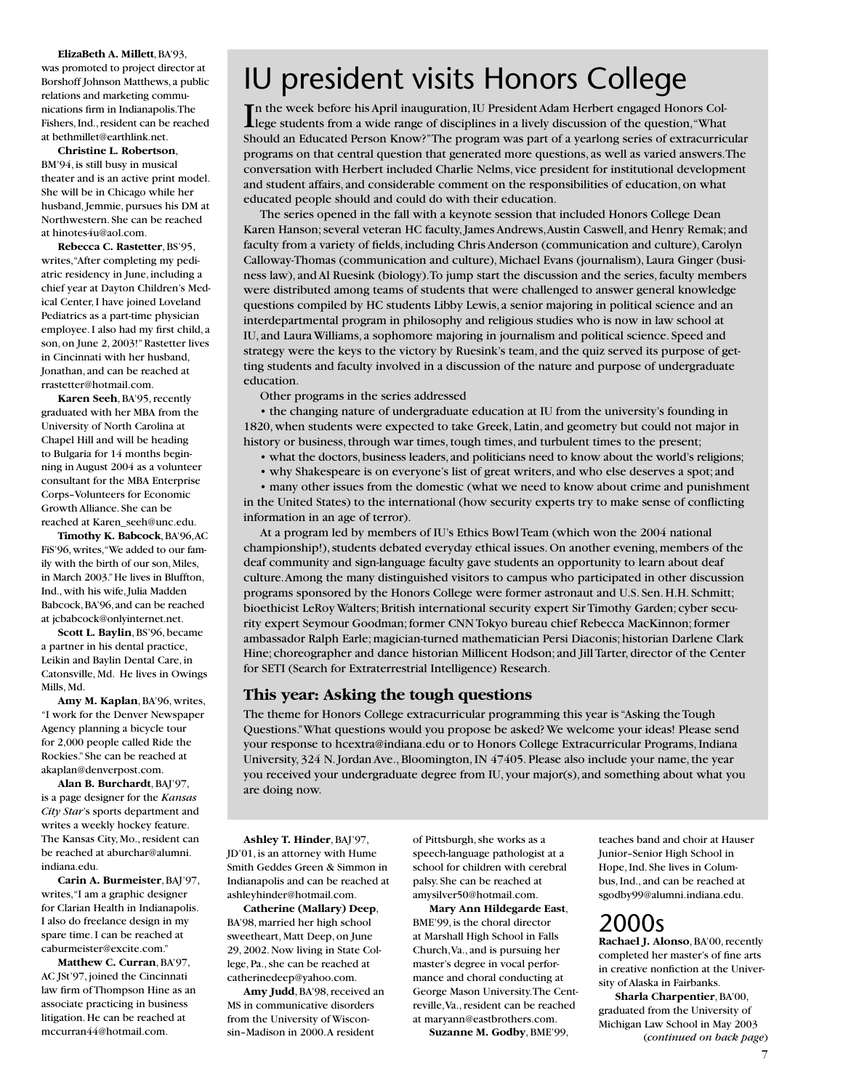**ElizaBeth A. Millett**, BA'93, was promoted to project director at Borshoff Johnson Matthews, a public relations and marketing communications firm in Indianapolis. The Fishers, Ind., resident can be reached at bethmillet@earthlink.net.

**Christine L. Robertson**, BM'94, is still busy in musical theater and is an active print model. She will be in Chicago while her husband, Jemmie, pursues his DM at Northwestern. She can be reached at hinotes4u@aol.com.

**Rebecca C. Rastetter**, BS'95, writes, "After completing my pediatric residency in June, including a chief year at Dayton Children's Medical Center, I have joined Loveland Pediatrics as a part-time physician employee. I also had my first child, a son, on June 2, 2003!" Rastetter lives in Cincinnati with her husband, Jonathan, and can be reached at rrastetter@hotmail.com.

**Karen Seeh**, BA'95, recently graduated with her MBA from the University of North Carolina at Chapel Hill and will be heading to Bulgaria for 14 months beginning in August 2004 as a volunteer consultant for the MBA Enterprise Corps–Volunteers for Economic Growth Alliance. She can be reached at Karen\_seeh@unc.edu.

**Timothy K. Babcock**, BA'96, AC FiS'96, writes, "We added to our family with the birth of our son, Miles, in March 2003." He lives in Bluffton, Ind., with his wife, Julia Madden Babcock, BA'96, and can be reached at ichabcock@onlyinternet.net

**Scott L. Baylin**, BS'96, became a partner in his dental practice, Leikin and Baylin Dental Care, in Catonsville, Md. He lives in Owings Mills, Md.

**Amy M. Kaplan**, BA'96, writes, "I work for the Denver Newspaper Agency planning a bicycle tour for 2,000 people called Ride the Rockies." She can be reached at akaplan@denverpost.com.

**Alan B. Burchardt**, BAJ'97, is a page designer for the *Kansas City Star*'s sports department and writes a weekly hockey feature. The Kansas City, Mo., resident can be reached at aburchar@alumni. indiana.edu.

**Carin A. Burmeister**, BAJ'97, writes, "I am a graphic designer for Clarian Health in Indianapolis. I also do freelance design in my spare time. I can be reached at caburmeister@excite.com."

**Matthew C. Curran**, BA'97, AC JSt'97, joined the Cincinnati law firm of Thompson Hine as an associate practicing in business litigation. He can be reached at mccurran44@hotmail.com.

## IU president visits Honors College

In the week before his April inauguration, IU President Adam Herbert engaged Honors Col-<br>Lege students from a wide range of disciplines in a lively discussion of the question, "What lege students from a wide range of disciplines in a lively discussion of the question, "What Should an Educated Person Know?" The program was part of a yearlong series of extracurricular programs on that central question that generated more questions, as well as varied answers. The conversation with Herbert included Charlie Nelms, vice president for institutional development and student affairs, and considerable comment on the responsibilities of education, on what educated people should and could do with their education.

The series opened in the fall with a keynote session that included Honors College Dean Karen Hanson; several veteran HC faculty, James Andrews, Austin Caswell, and Henry Remak; and faculty from a variety of fields, including Chris Anderson (communication and culture), Carolyn Calloway-Thomas (communication and culture), Michael Evans (journalism), Laura Ginger (business law), and Al Ruesink (biology). To jump start the discussion and the series, faculty members were distributed among teams of students that were challenged to answer general knowledge questions compiled by HC students Libby Lewis, a senior majoring in political science and an interdepartmental program in philosophy and religious studies who is now in law school at IU, and Laura Williams, a sophomore majoring in journalism and political science. Speed and strategy were the keys to the victory by Ruesink's team, and the quiz served its purpose of getting students and faculty involved in a discussion of the nature and purpose of undergraduate education.

Other programs in the series addressed

• the changing nature of undergraduate education at IU from the university's founding in 1820, when students were expected to take Greek, Latin, and geometry but could not major in history or business, through war times, tough times, and turbulent times to the present;

- what the doctors, business leaders, and politicians need to know about the world's religions;
- why Shakespeare is on everyone's list of great writers, and who else deserves a spot; and

• many other issues from the domestic (what we need to know about crime and punishment in the United States) to the international (how security experts try to make sense of conflicting information in an age of terror).

At a program led by members of IU's Ethics Bowl Team (which won the 2004 national championship!), students debated everyday ethical issues. On another evening, members of the deaf community and sign-language faculty gave students an opportunity to learn about deaf culture. Among the many distinguished visitors to campus who participated in other discussion programs sponsored by the Honors College were former astronaut and U.S. Sen. H.H. Schmitt; bioethicist LeRoy Walters; British international security expert Sir Timothy Garden; cyber security expert Seymour Goodman; former CNN Tokyo bureau chief Rebecca MacKinnon; former ambassador Ralph Earle; magician-turned mathematician Persi Diaconis; historian Darlene Clark Hine; choreographer and dance historian Millicent Hodson; and Jill Tarter, director of the Center for SETI (Search for Extraterrestrial Intelligence) Research.

#### **This year: Asking the tough questions**

The theme for Honors College extracurricular programming this year is "Asking the Tough Questions." What questions would you propose be asked? We welcome your ideas! Please send your response to hcextra@indiana.edu or to Honors College Extracurricular Programs, Indiana University, 324 N. Jordan Ave., Bloomington, IN 47405. Please also include your name, the year you received your undergraduate degree from IU, your major(s), and something about what you are doing now.

**Ashley T. Hinder**, BAJ'97, JD'01, is an attorney with Hume Smith Geddes Green & Simmon in Indianapolis and can be reached at ashleyhinder@hotmail.com.

**Catherine (Mallary) Deep**, BA'98, married her high school sweetheart, Matt Deep, on June 29, 2002. Now living in State College, Pa., she can be reached at catherinedeep@yahoo.com.

**Amy Judd**, BA'98, received an MS in communicative disorders from the University of Wisconsin–Madison in 2000. A resident

of Pittsburgh, she works as a speech-language pathologist at a school for children with cerebral palsy. She can be reached at amysilver50@hotmail.com.

**Mary Ann Hildegarde East**, BME'99, is the choral director at Marshall High School in Falls Church, Va., and is pursuing her master's degree in vocal performance and choral conducting at George Mason University. The Centreville, Va., resident can be reached at maryann@eastbrothers.com.

**Suzanne M. Godby**, BME'99,

teaches band and choir at Hauser Junior–Senior High School in Hope, Ind. She lives in Columbus, Ind., and can be reached at sgodby99@alumni.indiana.edu.

### 2000s

**Rachael J. Alonso**, BA'00, recently completed her master's of fine arts in creative nonfiction at the University of Alaska in Fairbanks.

**Sharla Charpentier**, BA'00, graduated from the University of Michigan Law School in May 2003 (*continued on back page*)